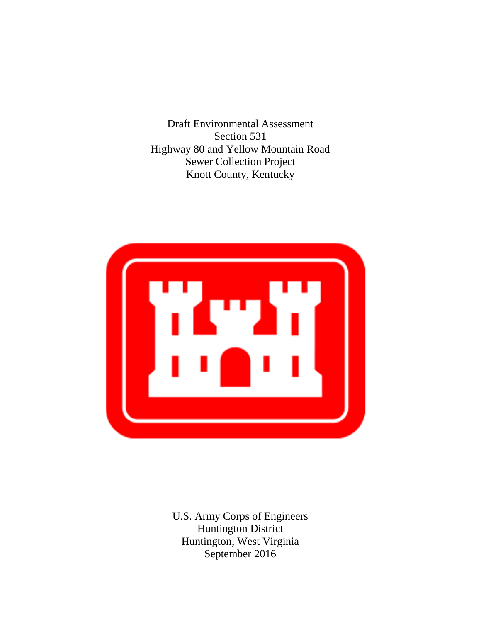Draft Environmental Assessment Section 531 Highway 80 and Yellow Mountain Road Sewer Collection Project Knott County, Kentucky



U.S. Army Corps of Engineers Huntington District Huntington, West Virginia September 2016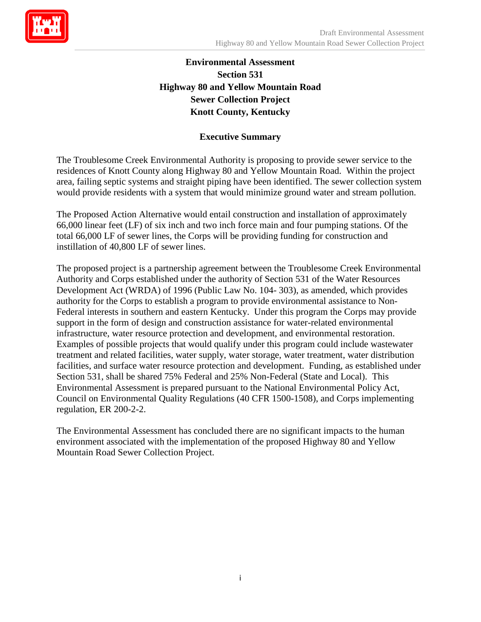

# **Environmental Assessment Section 531 Highway 80 and Yellow Mountain Road Sewer Collection Project Knott County, Kentucky**

# **Executive Summary**

The Troublesome Creek Environmental Authority is proposing to provide sewer service to the residences of Knott County along Highway 80 and Yellow Mountain Road. Within the project area, failing septic systems and straight piping have been identified. The sewer collection system would provide residents with a system that would minimize ground water and stream pollution.

The Proposed Action Alternative would entail construction and installation of approximately 66,000 linear feet (LF) of six inch and two inch force main and four pumping stations. Of the total 66,000 LF of sewer lines, the Corps will be providing funding for construction and instillation of 40,800 LF of sewer lines.

The proposed project is a partnership agreement between the Troublesome Creek Environmental Authority and Corps established under the authority of Section 531 of the Water Resources Development Act (WRDA) of 1996 (Public Law No. 104- 303), as amended, which provides authority for the Corps to establish a program to provide environmental assistance to Non-Federal interests in southern and eastern Kentucky. Under this program the Corps may provide support in the form of design and construction assistance for water-related environmental infrastructure, water resource protection and development, and environmental restoration. Examples of possible projects that would qualify under this program could include wastewater treatment and related facilities, water supply, water storage, water treatment, water distribution facilities, and surface water resource protection and development. Funding, as established under Section 531, shall be shared 75% Federal and 25% Non-Federal (State and Local). This Environmental Assessment is prepared pursuant to the National Environmental Policy Act, Council on Environmental Quality Regulations (40 CFR 1500-1508), and Corps implementing regulation, ER 200-2-2.

The Environmental Assessment has concluded there are no significant impacts to the human environment associated with the implementation of the proposed Highway 80 and Yellow Mountain Road Sewer Collection Project.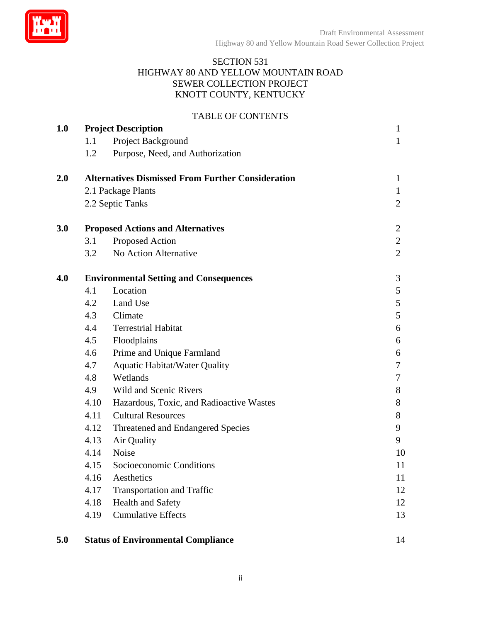

#### SECTION 531 HIGHWAY 80 AND YELLOW MOUNTAIN ROAD SEWER COLLECTION PROJECT KNOTT COUNTY, KENTUCKY

#### TABLE OF CONTENTS

| 1.0 | <b>Project Description</b>                               |                                           | 1              |
|-----|----------------------------------------------------------|-------------------------------------------|----------------|
|     | 1.1                                                      | Project Background                        | $\mathbf{1}$   |
|     | 1.2                                                      | Purpose, Need, and Authorization          |                |
| 2.0 | <b>Alternatives Dismissed From Further Consideration</b> |                                           |                |
|     | 2.1 Package Plants                                       |                                           |                |
|     |                                                          | 2.2 Septic Tanks                          | $\overline{2}$ |
| 3.0 | <b>Proposed Actions and Alternatives</b>                 |                                           | $\overline{2}$ |
|     | 3.1                                                      | Proposed Action                           | $\overline{2}$ |
|     | 3.2                                                      | No Action Alternative                     | $\overline{2}$ |
| 4.0 | <b>Environmental Setting and Consequences</b>            |                                           | 3              |
|     | 4.1                                                      | Location                                  | 5              |
|     | 4.2                                                      | Land Use                                  | 5              |
|     | 4.3                                                      | Climate                                   | 5              |
|     | 4.4                                                      | <b>Terrestrial Habitat</b>                | 6              |
|     | 4.5                                                      | Floodplains                               | 6              |
|     | 4.6                                                      | Prime and Unique Farmland                 | 6              |
|     | 4.7                                                      | <b>Aquatic Habitat/Water Quality</b>      | 7              |
|     | 4.8                                                      | Wetlands                                  | 7              |
|     | 4.9                                                      | <b>Wild and Scenic Rivers</b>             | 8              |
|     | 4.10                                                     | Hazardous, Toxic, and Radioactive Wastes  | 8              |
|     | 4.11                                                     | <b>Cultural Resources</b>                 | 8              |
|     | 4.12                                                     | Threatened and Endangered Species         | 9              |
|     | 4.13                                                     | Air Quality                               | 9              |
|     | 4.14                                                     | Noise                                     | 10             |
|     | 4.15                                                     | Socioeconomic Conditions                  | 11             |
|     |                                                          | 4.16 Aesthetics                           | 11             |
|     | 4.17                                                     | <b>Transportation and Traffic</b>         | 12             |
|     | 4.18                                                     | Health and Safety                         | 12             |
|     | 4.19                                                     | <b>Cumulative Effects</b>                 | 13             |
| 5.0 |                                                          | <b>Status of Environmental Compliance</b> | 14             |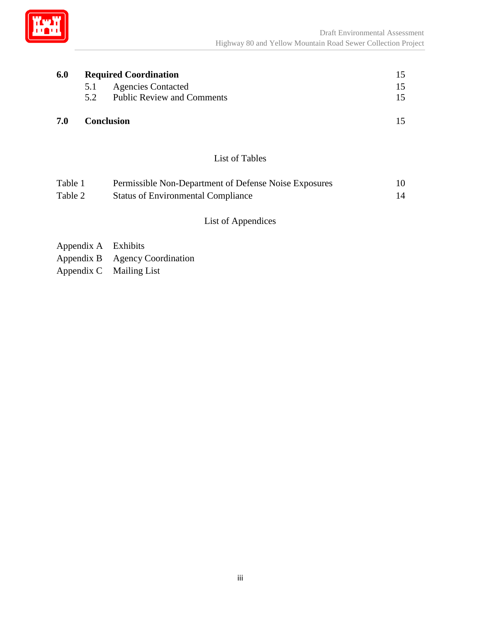

| 6.0 | <b>Required Coordination</b> |                                   | 15 |
|-----|------------------------------|-----------------------------------|----|
|     | 5.1                          | <b>Agencies Contacted</b>         | 15 |
|     | 5.2                          | <b>Public Review and Comments</b> | 15 |
| 7.0 | <b>Conclusion</b>            |                                   | 15 |
|     |                              | List of Tables                    |    |

| Table 1 | Permissible Non-Department of Defense Noise Exposures                                                             | 10 |
|---------|-------------------------------------------------------------------------------------------------------------------|----|
| Table 2 | <b>Status of Environmental Compliance</b>                                                                         |    |
|         | $\mathbf{T}$ , $\mathbf{L}$ , $\mathbf{L}$ , $\mathbf{A}$ , and a set of $\mathbf{I}$ , and a set of $\mathbf{I}$ |    |

# List of Appendices

- Appendix A Exhibits
- Appendix B Agency Coordination
- Appendix C Mailing List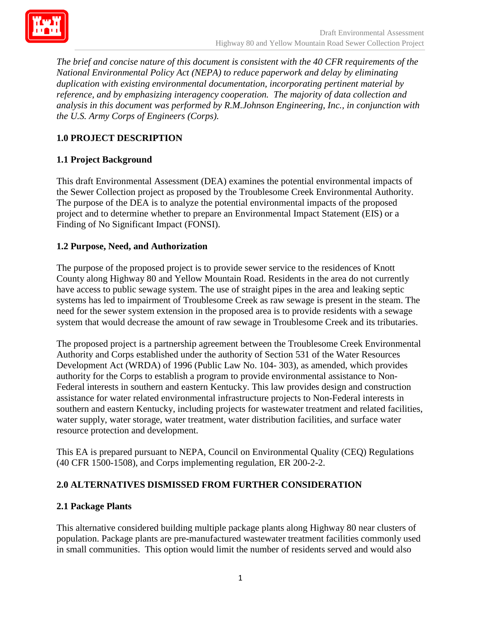

*The brief and concise nature of this document is consistent with the 40 CFR requirements of the National Environmental Policy Act (NEPA) to reduce paperwork and delay by eliminating duplication with existing environmental documentation, incorporating pertinent material by reference, and by emphasizing interagency cooperation. The majority of data collection and analysis in this document was performed by R.M.Johnson Engineering, Inc., in conjunction with the U.S. Army Corps of Engineers (Corps).*

# **1.0 PROJECT DESCRIPTION**

# **1.1 Project Background**

This draft Environmental Assessment (DEA) examines the potential environmental impacts of the Sewer Collection project as proposed by the Troublesome Creek Environmental Authority. The purpose of the DEA is to analyze the potential environmental impacts of the proposed project and to determine whether to prepare an Environmental Impact Statement (EIS) or a Finding of No Significant Impact (FONSI).

## **1.2 Purpose, Need, and Authorization**

The purpose of the proposed project is to provide sewer service to the residences of Knott County along Highway 80 and Yellow Mountain Road. Residents in the area do not currently have access to public sewage system. The use of straight pipes in the area and leaking septic systems has led to impairment of Troublesome Creek as raw sewage is present in the steam. The need for the sewer system extension in the proposed area is to provide residents with a sewage system that would decrease the amount of raw sewage in Troublesome Creek and its tributaries.

The proposed project is a partnership agreement between the Troublesome Creek Environmental Authority and Corps established under the authority of Section 531 of the Water Resources Development Act (WRDA) of 1996 (Public Law No. 104- 303), as amended, which provides authority for the Corps to establish a program to provide environmental assistance to Non-Federal interests in southern and eastern Kentucky. This law provides design and construction assistance for water related environmental infrastructure projects to Non-Federal interests in southern and eastern Kentucky, including projects for wastewater treatment and related facilities, water supply, water storage, water treatment, water distribution facilities, and surface water resource protection and development.

This EA is prepared pursuant to NEPA, Council on Environmental Quality (CEQ) Regulations (40 CFR 1500-1508), and Corps implementing regulation, ER 200-2-2.

# **2.0 ALTERNATIVES DISMISSED FROM FURTHER CONSIDERATION**

#### **2.1 Package Plants**

This alternative considered building multiple package plants along Highway 80 near clusters of population. Package plants are pre-manufactured wastewater treatment facilities commonly used in small communities. This option would limit the number of residents served and would also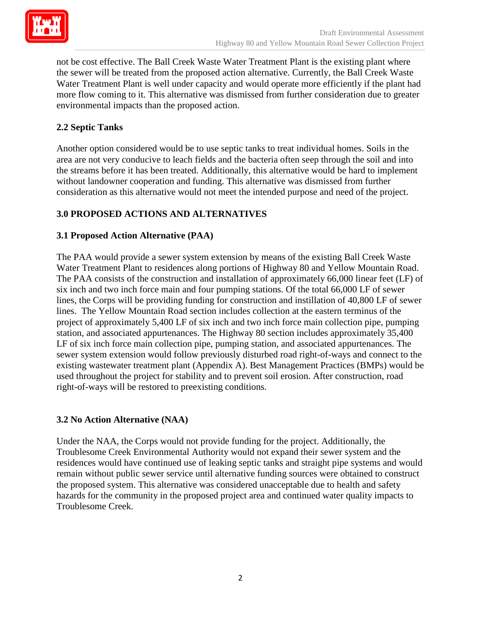

not be cost effective. The Ball Creek Waste Water Treatment Plant is the existing plant where the sewer will be treated from the proposed action alternative. Currently, the Ball Creek Waste Water Treatment Plant is well under capacity and would operate more efficiently if the plant had more flow coming to it. This alternative was dismissed from further consideration due to greater environmental impacts than the proposed action.

## **2.2 Septic Tanks**

Another option considered would be to use septic tanks to treat individual homes. Soils in the area are not very conducive to leach fields and the bacteria often seep through the soil and into the streams before it has been treated. Additionally, this alternative would be hard to implement without landowner cooperation and funding. This alternative was dismissed from further consideration as this alternative would not meet the intended purpose and need of the project.

## **3.0 PROPOSED ACTIONS AND ALTERNATIVES**

## **3.1 Proposed Action Alternative (PAA)**

The PAA would provide a sewer system extension by means of the existing Ball Creek Waste Water Treatment Plant to residences along portions of Highway 80 and Yellow Mountain Road. The PAA consists of the construction and installation of approximately 66,000 linear feet (LF) of six inch and two inch force main and four pumping stations. Of the total 66,000 LF of sewer lines, the Corps will be providing funding for construction and instillation of 40,800 LF of sewer lines. The Yellow Mountain Road section includes collection at the eastern terminus of the project of approximately 5,400 LF of six inch and two inch force main collection pipe, pumping station, and associated appurtenances. The Highway 80 section includes approximately 35,400 LF of six inch force main collection pipe, pumping station, and associated appurtenances. The sewer system extension would follow previously disturbed road right-of-ways and connect to the existing wastewater treatment plant (Appendix A). Best Management Practices (BMPs) would be used throughout the project for stability and to prevent soil erosion. After construction, road right-of-ways will be restored to preexisting conditions.

#### **3.2 No Action Alternative (NAA)**

Under the NAA, the Corps would not provide funding for the project. Additionally, the Troublesome Creek Environmental Authority would not expand their sewer system and the residences would have continued use of leaking septic tanks and straight pipe systems and would remain without public sewer service until alternative funding sources were obtained to construct the proposed system. This alternative was considered unacceptable due to health and safety hazards for the community in the proposed project area and continued water quality impacts to Troublesome Creek.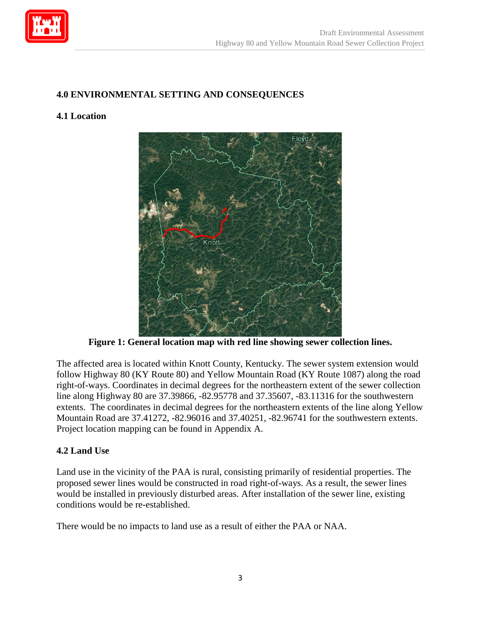

# **4.0 ENVIRONMENTAL SETTING AND CONSEQUENCES**

#### **4.1 Location**



**Figure 1: General location map with red line showing sewer collection lines.**

The affected area is located within Knott County, Kentucky. The sewer system extension would follow Highway 80 (KY Route 80) and Yellow Mountain Road (KY Route 1087) along the road right-of-ways. Coordinates in decimal degrees for the northeastern extent of the sewer collection line along Highway 80 are 37.39866, -82.95778 and 37.35607, -83.11316 for the southwestern extents. The coordinates in decimal degrees for the northeastern extents of the line along Yellow Mountain Road are 37.41272, -82.96016 and 37.40251, -82.96741 for the southwestern extents. Project location mapping can be found in Appendix A.

#### **4.2 Land Use**

Land use in the vicinity of the PAA is rural, consisting primarily of residential properties. The proposed sewer lines would be constructed in road right-of-ways. As a result, the sewer lines would be installed in previously disturbed areas. After installation of the sewer line, existing conditions would be re-established.

There would be no impacts to land use as a result of either the PAA or NAA.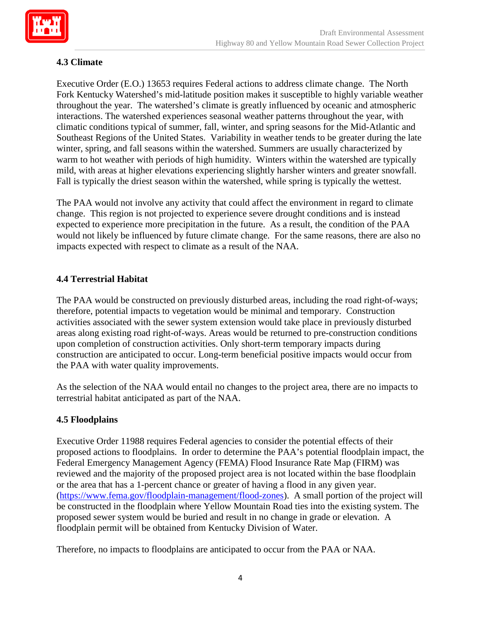

# **4.3 Climate**

Executive Order (E.O.) 13653 requires Federal actions to address climate change. The North Fork Kentucky Watershed's mid-latitude position makes it susceptible to highly variable weather throughout the year. The watershed's climate is greatly influenced by oceanic and atmospheric interactions. The watershed experiences seasonal weather patterns throughout the year, with climatic conditions typical of summer, fall, winter, and spring seasons for the Mid-Atlantic and Southeast Regions of the United States. Variability in weather tends to be greater during the late winter, spring, and fall seasons within the watershed. Summers are usually characterized by warm to hot weather with periods of high humidity. Winters within the watershed are typically mild, with areas at higher elevations experiencing slightly harsher winters and greater snowfall. Fall is typically the driest season within the watershed, while spring is typically the wettest.

The PAA would not involve any activity that could affect the environment in regard to climate change. This region is not projected to experience severe drought conditions and is instead expected to experience more precipitation in the future. As a result, the condition of the PAA would not likely be influenced by future climate change. For the same reasons, there are also no impacts expected with respect to climate as a result of the NAA.

# **4.4 Terrestrial Habitat**

The PAA would be constructed on previously disturbed areas, including the road right-of-ways; therefore, potential impacts to vegetation would be minimal and temporary. Construction activities associated with the sewer system extension would take place in previously disturbed areas along existing road right-of-ways. Areas would be returned to pre-construction conditions upon completion of construction activities. Only short-term temporary impacts during construction are anticipated to occur. Long-term beneficial positive impacts would occur from the PAA with water quality improvements.

As the selection of the NAA would entail no changes to the project area, there are no impacts to terrestrial habitat anticipated as part of the NAA.

# **4.5 Floodplains**

Executive Order 11988 requires Federal agencies to consider the potential effects of their proposed actions to floodplains. In order to determine the PAA's potential floodplain impact, the Federal Emergency Management Agency (FEMA) Flood Insurance Rate Map (FIRM) was reviewed and the majority of the proposed project area is not located within the base floodplain or the area that has a 1-percent chance or greater of having a flood in any given year. [\(https://www.fema.gov/floodplain-management/flood-zones\)](https://www.fema.gov/floodplain-management/flood-zones). A small portion of the project will be constructed in the floodplain where Yellow Mountain Road ties into the existing system. The proposed sewer system would be buried and result in no change in grade or elevation. A floodplain permit will be obtained from Kentucky Division of Water.

Therefore, no impacts to floodplains are anticipated to occur from the PAA or NAA.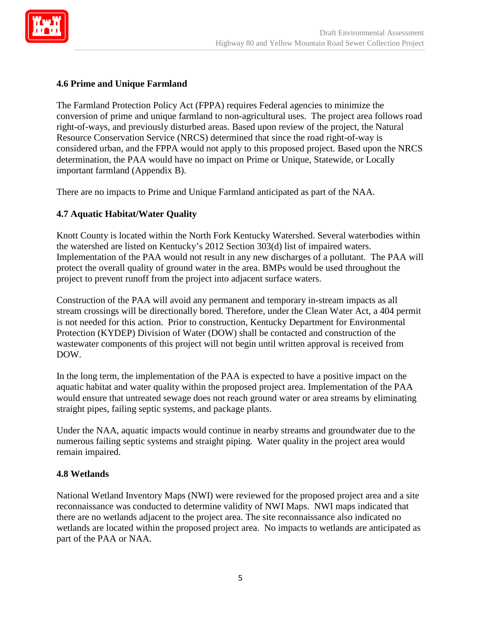

# **4.6 Prime and Unique Farmland**

The Farmland Protection Policy Act (FPPA) requires Federal agencies to minimize the conversion of prime and unique farmland to non-agricultural uses. The project area follows road right-of-ways, and previously disturbed areas. Based upon review of the project, the Natural Resource Conservation Service (NRCS) determined that since the road right-of-way is considered urban, and the FPPA would not apply to this proposed project. Based upon the NRCS determination, the PAA would have no impact on Prime or Unique, Statewide, or Locally important farmland (Appendix B).

There are no impacts to Prime and Unique Farmland anticipated as part of the NAA.

## **4.7 Aquatic Habitat/Water Quality**

Knott County is located within the North Fork Kentucky Watershed. Several waterbodies within the watershed are listed on Kentucky's 2012 Section 303(d) list of impaired waters. Implementation of the PAA would not result in any new discharges of a pollutant. The PAA will protect the overall quality of ground water in the area. BMPs would be used throughout the project to prevent runoff from the project into adjacent surface waters.

Construction of the PAA will avoid any permanent and temporary in-stream impacts as all stream crossings will be directionally bored. Therefore, under the Clean Water Act, a 404 permit is not needed for this action. Prior to construction, Kentucky Department for Environmental Protection (KYDEP) Division of Water (DOW) shall be contacted and construction of the wastewater components of this project will not begin until written approval is received from DOW.

In the long term, the implementation of the PAA is expected to have a positive impact on the aquatic habitat and water quality within the proposed project area. Implementation of the PAA would ensure that untreated sewage does not reach ground water or area streams by eliminating straight pipes, failing septic systems, and package plants.

Under the NAA, aquatic impacts would continue in nearby streams and groundwater due to the numerous failing septic systems and straight piping. Water quality in the project area would remain impaired.

#### **4.8 Wetlands**

National Wetland Inventory Maps (NWI) were reviewed for the proposed project area and a site reconnaissance was conducted to determine validity of NWI Maps. NWI maps indicated that there are no wetlands adjacent to the project area. The site reconnaissance also indicated no wetlands are located within the proposed project area. No impacts to wetlands are anticipated as part of the PAA or NAA.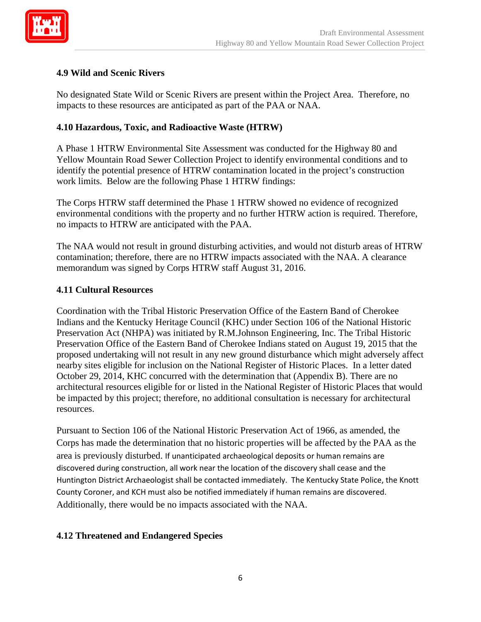

# **4.9 Wild and Scenic Rivers**

No designated State Wild or Scenic Rivers are present within the Project Area. Therefore, no impacts to these resources are anticipated as part of the PAA or NAA.

#### **4.10 Hazardous, Toxic, and Radioactive Waste (HTRW)**

A Phase 1 HTRW Environmental Site Assessment was conducted for the Highway 80 and Yellow Mountain Road Sewer Collection Project to identify environmental conditions and to identify the potential presence of HTRW contamination located in the project's construction work limits. Below are the following Phase 1 HTRW findings:

The Corps HTRW staff determined the Phase 1 HTRW showed no evidence of recognized environmental conditions with the property and no further HTRW action is required. Therefore, no impacts to HTRW are anticipated with the PAA.

The NAA would not result in ground disturbing activities, and would not disturb areas of HTRW contamination; therefore, there are no HTRW impacts associated with the NAA. A clearance memorandum was signed by Corps HTRW staff August 31, 2016.

#### **4.11 Cultural Resources**

Coordination with the Tribal Historic Preservation Office of the Eastern Band of Cherokee Indians and the Kentucky Heritage Council (KHC) under Section 106 of the National Historic Preservation Act (NHPA) was initiated by R.M.Johnson Engineering, Inc. The Tribal Historic Preservation Office of the Eastern Band of Cherokee Indians stated on August 19, 2015 that the proposed undertaking will not result in any new ground disturbance which might adversely affect nearby sites eligible for inclusion on the National Register of Historic Places. In a letter dated October 29, 2014, KHC concurred with the determination that (Appendix B). There are no architectural resources eligible for or listed in the National Register of Historic Places that would be impacted by this project; therefore, no additional consultation is necessary for architectural resources.

Pursuant to Section 106 of the National Historic Preservation Act of 1966, as amended, the Corps has made the determination that no historic properties will be affected by the PAA as the area is previously disturbed. If unanticipated archaeological deposits or human remains are discovered during construction, all work near the location of the discovery shall cease and the Huntington District Archaeologist shall be contacted immediately. The Kentucky State Police, the Knott County Coroner, and KCH must also be notified immediately if human remains are discovered. Additionally, there would be no impacts associated with the NAA.

# **4.12 Threatened and Endangered Species**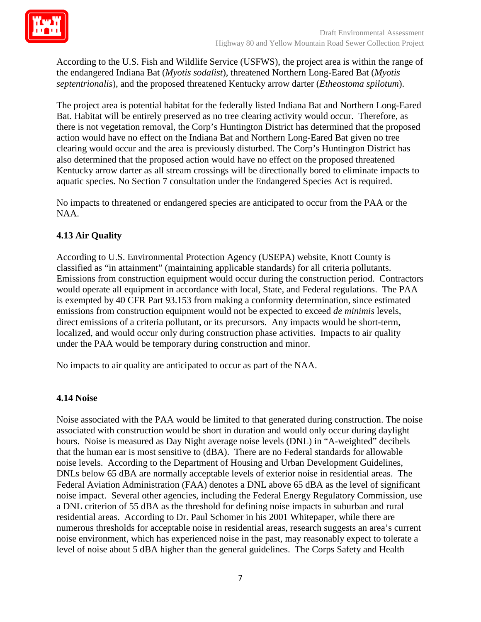

According to the U.S. Fish and Wildlife Service (USFWS), the project area is within the range of the endangered Indiana Bat (*Myotis sodalist*), threatened Northern Long-Eared Bat (*Myotis septentrionalis*), and the proposed threatened Kentucky arrow darter (*Etheostoma spilotum*).

The project area is potential habitat for the federally listed Indiana Bat and Northern Long-Eared Bat. Habitat will be entirely preserved as no tree clearing activity would occur. Therefore, as there is not vegetation removal, the Corp's Huntington District has determined that the proposed action would have no effect on the Indiana Bat and Northern Long-Eared Bat given no tree clearing would occur and the area is previously disturbed. The Corp's Huntington District has also determined that the proposed action would have no effect on the proposed threatened Kentucky arrow darter as all stream crossings will be directionally bored to eliminate impacts to aquatic species. No Section 7 consultation under the Endangered Species Act is required.

No impacts to threatened or endangered species are anticipated to occur from the PAA or the NAA.

# **4.13 Air Quality**

According to U.S. Environmental Protection Agency (USEPA) website, Knott County is classified as "in attainment" (maintaining applicable standards) for all criteria pollutants. Emissions from construction equipment would occur during the construction period. Contractors would operate all equipment in accordance with local, State, and Federal regulations. The PAA is exempted by 40 CFR Part 93.153 from making a conformit**y** determination, since estimated emissions from construction equipment would not be expected to exceed *de minimis* levels, direct emissions of a criteria pollutant, or its precursors. Any impacts would be short-term, localized, and would occur only during construction phase activities. Impacts to air quality under the PAA would be temporary during construction and minor.

No impacts to air quality are anticipated to occur as part of the NAA.

#### **4.14 Noise**

Noise associated with the PAA would be limited to that generated during construction. The noise associated with construction would be short in duration and would only occur during daylight hours. Noise is measured as Day Night average noise levels (DNL) in "A-weighted" decibels that the human ear is most sensitive to (dBA). There are no Federal standards for allowable noise levels. According to the Department of Housing and Urban Development Guidelines, DNLs below 65 dBA are normally acceptable levels of exterior noise in residential areas. The Federal Aviation Administration (FAA) denotes a DNL above 65 dBA as the level of significant noise impact. Several other agencies, including the Federal Energy Regulatory Commission, use a DNL criterion of 55 dBA as the threshold for defining noise impacts in suburban and rural residential areas. According to Dr. Paul Schomer in his 2001 Whitepaper, while there are numerous thresholds for acceptable noise in residential areas, research suggests an area's current noise environment, which has experienced noise in the past, may reasonably expect to tolerate a level of noise about 5 dBA higher than the general guidelines. The Corps Safety and Health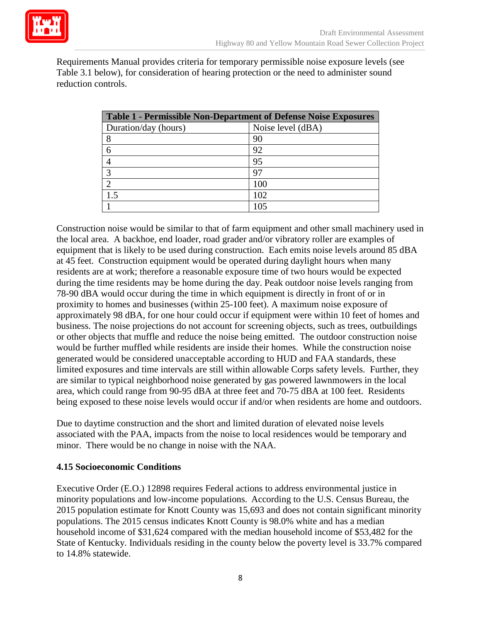

Requirements Manual provides criteria for temporary permissible noise exposure levels (see Table 3.1 below), for consideration of hearing protection or the need to administer sound reduction controls.

| <b>Table 1 - Permissible Non-Department of Defense Noise Exposures</b> |                   |  |  |  |
|------------------------------------------------------------------------|-------------------|--|--|--|
| Duration/day (hours)                                                   | Noise level (dBA) |  |  |  |
|                                                                        | 90                |  |  |  |
| 6                                                                      | 92                |  |  |  |
|                                                                        | 95                |  |  |  |
|                                                                        | 97                |  |  |  |
|                                                                        | 100               |  |  |  |
|                                                                        | 102               |  |  |  |
|                                                                        | 10 <sup>5</sup>   |  |  |  |

Construction noise would be similar to that of farm equipment and other small machinery used in the local area. A backhoe, end loader, road grader and/or vibratory roller are examples of equipment that is likely to be used during construction. Each emits noise levels around 85 dBA at 45 feet. Construction equipment would be operated during daylight hours when many residents are at work; therefore a reasonable exposure time of two hours would be expected during the time residents may be home during the day. Peak outdoor noise levels ranging from 78-90 dBA would occur during the time in which equipment is directly in front of or in proximity to homes and businesses (within 25-100 feet). A maximum noise exposure of approximately 98 dBA, for one hour could occur if equipment were within 10 feet of homes and business. The noise projections do not account for screening objects, such as trees, outbuildings or other objects that muffle and reduce the noise being emitted. The outdoor construction noise would be further muffled while residents are inside their homes. While the construction noise generated would be considered unacceptable according to HUD and FAA standards, these limited exposures and time intervals are still within allowable Corps safety levels. Further, they are similar to typical neighborhood noise generated by gas powered lawnmowers in the local area, which could range from 90-95 dBA at three feet and 70-75 dBA at 100 feet. Residents being exposed to these noise levels would occur if and/or when residents are home and outdoors.

Due to daytime construction and the short and limited duration of elevated noise levels associated with the PAA, impacts from the noise to local residences would be temporary and minor. There would be no change in noise with the NAA.

# **4.15 Socioeconomic Conditions**

Executive Order (E.O.) 12898 requires Federal actions to address environmental justice in minority populations and low-income populations. According to the U.S. Census Bureau, the 2015 population estimate for Knott County was 15,693 and does not contain significant minority populations. The 2015 census indicates Knott County is 98.0% white and has a median household income of \$31,624 compared with the median household income of \$53,482 for the State of Kentucky. Individuals residing in the county below the poverty level is 33.7% compared to 14.8% statewide.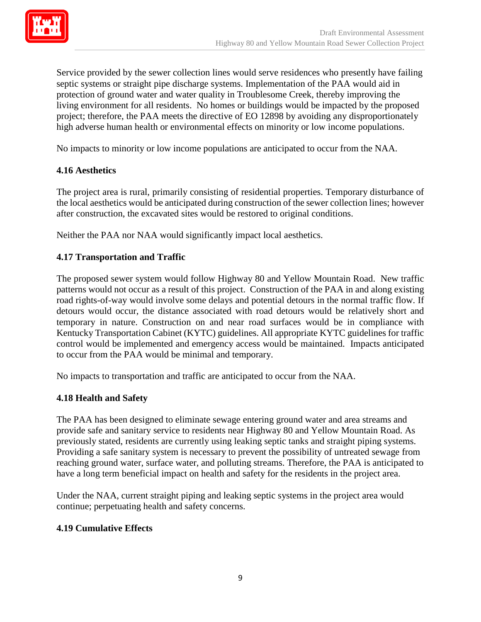

Service provided by the sewer collection lines would serve residences who presently have failing septic systems or straight pipe discharge systems. Implementation of the PAA would aid in protection of ground water and water quality in Troublesome Creek, thereby improving the living environment for all residents. No homes or buildings would be impacted by the proposed project; therefore, the PAA meets the directive of EO 12898 by avoiding any disproportionately high adverse human health or environmental effects on minority or low income populations.

No impacts to minority or low income populations are anticipated to occur from the NAA.

#### **4.16 Aesthetics**

The project area is rural, primarily consisting of residential properties. Temporary disturbance of the local aesthetics would be anticipated during construction of the sewer collection lines; however after construction, the excavated sites would be restored to original conditions.

Neither the PAA nor NAA would significantly impact local aesthetics.

#### **4.17 Transportation and Traffic**

The proposed sewer system would follow Highway 80 and Yellow Mountain Road. New traffic patterns would not occur as a result of this project. Construction of the PAA in and along existing road rights-of-way would involve some delays and potential detours in the normal traffic flow. If detours would occur, the distance associated with road detours would be relatively short and temporary in nature. Construction on and near road surfaces would be in compliance with Kentucky Transportation Cabinet (KYTC) guidelines. All appropriate KYTC guidelines for traffic control would be implemented and emergency access would be maintained. Impacts anticipated to occur from the PAA would be minimal and temporary.

No impacts to transportation and traffic are anticipated to occur from the NAA.

#### **4.18 Health and Safety**

The PAA has been designed to eliminate sewage entering ground water and area streams and provide safe and sanitary service to residents near Highway 80 and Yellow Mountain Road. As previously stated, residents are currently using leaking septic tanks and straight piping systems. Providing a safe sanitary system is necessary to prevent the possibility of untreated sewage from reaching ground water, surface water, and polluting streams. Therefore, the PAA is anticipated to have a long term beneficial impact on health and safety for the residents in the project area.

Under the NAA, current straight piping and leaking septic systems in the project area would continue; perpetuating health and safety concerns.

#### **4.19 Cumulative Effects**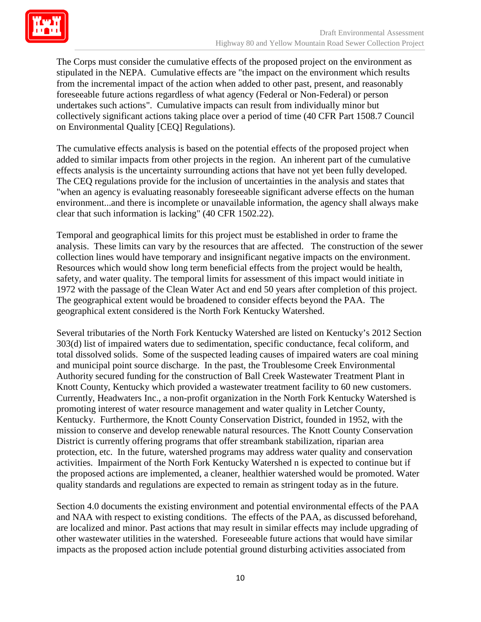

The Corps must consider the cumulative effects of the proposed project on the environment as stipulated in the NEPA. Cumulative effects are "the impact on the environment which results from the incremental impact of the action when added to other past, present, and reasonably foreseeable future actions regardless of what agency (Federal or Non-Federal) or person undertakes such actions". Cumulative impacts can result from individually minor but collectively significant actions taking place over a period of time (40 CFR Part 1508.7 Council on Environmental Quality [CEQ] Regulations).

The cumulative effects analysis is based on the potential effects of the proposed project when added to similar impacts from other projects in the region. An inherent part of the cumulative effects analysis is the uncertainty surrounding actions that have not yet been fully developed. The CEQ regulations provide for the inclusion of uncertainties in the analysis and states that "when an agency is evaluating reasonably foreseeable significant adverse effects on the human environment...and there is incomplete or unavailable information, the agency shall always make clear that such information is lacking" (40 CFR 1502.22).

Temporal and geographical limits for this project must be established in order to frame the analysis. These limits can vary by the resources that are affected. The construction of the sewer collection lines would have temporary and insignificant negative impacts on the environment. Resources which would show long term beneficial effects from the project would be health, safety, and water quality. The temporal limits for assessment of this impact would initiate in 1972 with the passage of the Clean Water Act and end 50 years after completion of this project. The geographical extent would be broadened to consider effects beyond the PAA. The geographical extent considered is the North Fork Kentucky Watershed.

Several tributaries of the North Fork Kentucky Watershed are listed on Kentucky's 2012 Section 303(d) list of impaired waters due to sedimentation, specific conductance, fecal coliform, and total dissolved solids. Some of the suspected leading causes of impaired waters are coal mining and municipal point source discharge. In the past, the Troublesome Creek Environmental Authority secured funding for the construction of Ball Creek Wastewater Treatment Plant in Knott County, Kentucky which provided a wastewater treatment facility to 60 new customers. Currently, Headwaters Inc., a non-profit organization in the North Fork Kentucky Watershed is promoting interest of water resource management and water quality in Letcher County, Kentucky. Furthermore, the Knott County Conservation District, founded in 1952, with the mission to conserve and develop renewable natural resources. The Knott County Conservation District is currently offering programs that offer streambank stabilization, riparian area protection, etc. In the future, watershed programs may address water quality and conservation activities. Impairment of the North Fork Kentucky Watershed n is expected to continue but if the proposed actions are implemented, a cleaner, healthier watershed would be promoted. Water quality standards and regulations are expected to remain as stringent today as in the future.

Section 4.0 documents the existing environment and potential environmental effects of the PAA and NAA with respect to existing conditions. The effects of the PAA, as discussed beforehand, are localized and minor. Past actions that may result in similar effects may include upgrading of other wastewater utilities in the watershed. Foreseeable future actions that would have similar impacts as the proposed action include potential ground disturbing activities associated from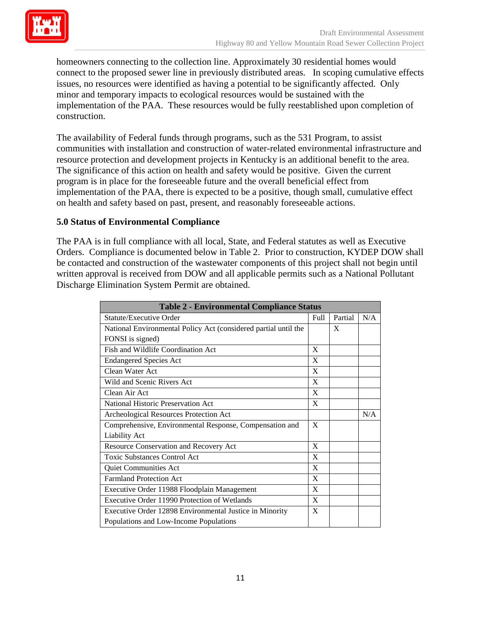

homeowners connecting to the collection line. Approximately 30 residential homes would connect to the proposed sewer line in previously distributed areas. In scoping cumulative effects issues, no resources were identified as having a potential to be significantly affected. Only minor and temporary impacts to ecological resources would be sustained with the implementation of the PAA. These resources would be fully reestablished upon completion of construction.

The availability of Federal funds through programs, such as the 531 Program, to assist communities with installation and construction of water-related environmental infrastructure and resource protection and development projects in Kentucky is an additional benefit to the area. The significance of this action on health and safety would be positive. Given the current program is in place for the foreseeable future and the overall beneficial effect from implementation of the PAA, there is expected to be a positive, though small, cumulative effect on health and safety based on past, present, and reasonably foreseeable actions.

#### **5.0 Status of Environmental Compliance**

The PAA is in full compliance with all local, State, and Federal statutes as well as Executive Orders. Compliance is documented below in Table 2. Prior to construction, KYDEP DOW shall be contacted and construction of the wastewater components of this project shall not begin until written approval is received from DOW and all applicable permits such as a National Pollutant Discharge Elimination System Permit are obtained.

| <b>Table 2 - Environmental Compliance Status</b>                |   |         |     |  |  |
|-----------------------------------------------------------------|---|---------|-----|--|--|
| Statute/Executive Order                                         |   | Partial | N/A |  |  |
| National Environmental Policy Act (considered partial until the |   | X       |     |  |  |
| FONSI is signed)                                                |   |         |     |  |  |
| Fish and Wildlife Coordination Act                              |   |         |     |  |  |
| <b>Endangered Species Act</b>                                   | X |         |     |  |  |
| Clean Water Act                                                 | X |         |     |  |  |
| Wild and Scenic Rivers Act                                      | X |         |     |  |  |
| Clean Air Act                                                   | X |         |     |  |  |
| National Historic Preservation Act                              | X |         |     |  |  |
| Archeological Resources Protection Act                          |   |         | N/A |  |  |
| Comprehensive, Environmental Response, Compensation and         |   |         |     |  |  |
| <b>Liability Act</b>                                            |   |         |     |  |  |
| Resource Conservation and Recovery Act                          |   |         |     |  |  |
| <b>Toxic Substances Control Act</b>                             |   |         |     |  |  |
| Quiet Communities Act                                           | X |         |     |  |  |
| <b>Farmland Protection Act</b>                                  |   |         |     |  |  |
| Executive Order 11988 Floodplain Management                     |   |         |     |  |  |
| Executive Order 11990 Protection of Wetlands                    |   |         |     |  |  |
| Executive Order 12898 Environmental Justice in Minority         | X |         |     |  |  |
| Populations and Low-Income Populations                          |   |         |     |  |  |